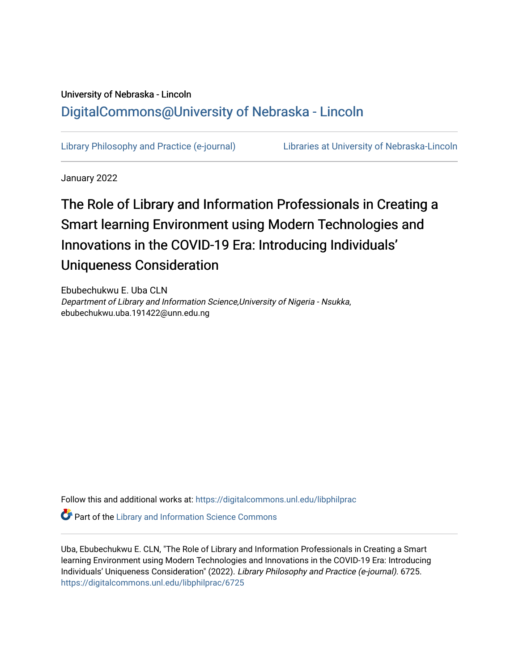## University of Nebraska - Lincoln [DigitalCommons@University of Nebraska - Lincoln](https://digitalcommons.unl.edu/)

[Library Philosophy and Practice \(e-journal\)](https://digitalcommons.unl.edu/libphilprac) [Libraries at University of Nebraska-Lincoln](https://digitalcommons.unl.edu/libraries) 

January 2022

# The Role of Library and Information Professionals in Creating a Smart learning Environment using Modern Technologies and Innovations in the COVID-19 Era: Introducing Individuals' Uniqueness Consideration

Ebubechukwu E. Uba CLN Department of Library and Information Science,University of Nigeria - Nsukka, ebubechukwu.uba.191422@unn.edu.ng

Follow this and additional works at: [https://digitalcommons.unl.edu/libphilprac](https://digitalcommons.unl.edu/libphilprac?utm_source=digitalcommons.unl.edu%2Flibphilprac%2F6725&utm_medium=PDF&utm_campaign=PDFCoverPages) 

**Part of the Library and Information Science Commons** 

Uba, Ebubechukwu E. CLN, "The Role of Library and Information Professionals in Creating a Smart learning Environment using Modern Technologies and Innovations in the COVID-19 Era: Introducing Individuals' Uniqueness Consideration" (2022). Library Philosophy and Practice (e-journal). 6725. [https://digitalcommons.unl.edu/libphilprac/6725](https://digitalcommons.unl.edu/libphilprac/6725?utm_source=digitalcommons.unl.edu%2Flibphilprac%2F6725&utm_medium=PDF&utm_campaign=PDFCoverPages)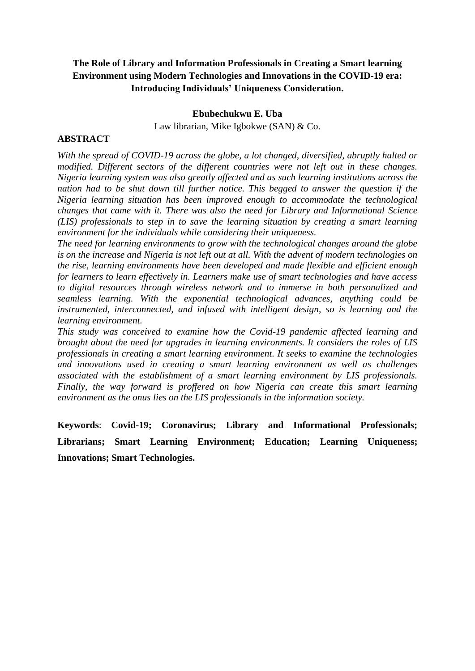### **The Role of Library and Information Professionals in Creating a Smart learning Environment using Modern Technologies and Innovations in the COVID-19 era: Introducing Individuals' Uniqueness Consideration.**

#### **Ebubechukwu E. Uba**

Law librarian, Mike Igbokwe (SAN) & Co.

### **ABSTRACT**

*With the spread of COVID-19 across the globe, a lot changed, diversified, abruptly halted or modified. Different sectors of the different countries were not left out in these changes. Nigeria learning system was also greatly affected and as such learning institutions across the nation had to be shut down till further notice. This begged to answer the question if the Nigeria learning situation has been improved enough to accommodate the technological changes that came with it. There was also the need for Library and Informational Science (LIS) professionals to step in to save the learning situation by creating a smart learning environment for the individuals while considering their uniqueness.*

*The need for learning environments to grow with the technological changes around the globe is on the increase and Nigeria is not left out at all. With the advent of modern technologies on the rise, learning environments have been developed and made flexible and efficient enough for learners to learn effectively in. Learners make use of smart technologies and have access to digital resources through wireless network and to immerse in both personalized and seamless learning. With the exponential technological advances, anything could be instrumented, interconnected, and infused with intelligent design, so is learning and the learning environment.* 

*This study was conceived to examine how the Covid-19 pandemic affected learning and brought about the need for upgrades in learning environments. It considers the roles of LIS professionals in creating a smart learning environment. It seeks to examine the technologies and innovations used in creating a smart learning environment as well as challenges associated with the establishment of a smart learning environment by LIS professionals. Finally, the way forward is proffered on how Nigeria can create this smart learning environment as the onus lies on the LIS professionals in the information society.*

**Keywords**: **Covid-19; Coronavirus; Library and Informational Professionals; Librarians; Smart Learning Environment; Education; Learning Uniqueness; Innovations; Smart Technologies.**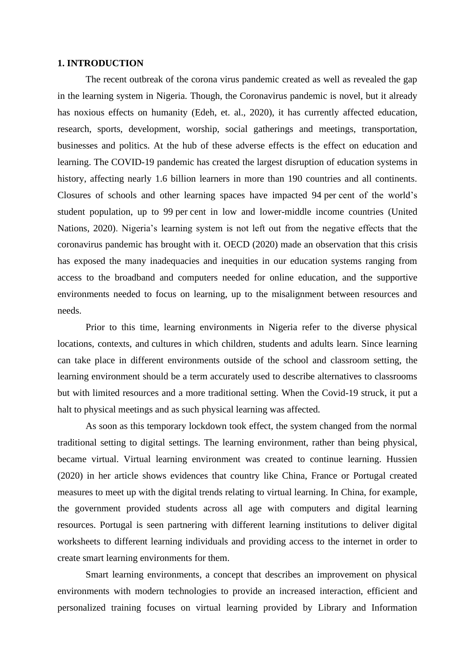#### **1. INTRODUCTION**

The recent outbreak of the corona virus pandemic created as well as revealed the gap in the learning system in Nigeria. Though, the Coronavirus pandemic is novel, but it already has noxious effects on humanity (Edeh, et. al., 2020), it has currently affected education, research, sports, development, worship, social gatherings and meetings, transportation, businesses and politics. At the hub of these adverse effects is the effect on education and learning. The COVID-19 pandemic has created the largest disruption of education systems in history, affecting nearly 1.6 billion learners in more than 190 countries and all continents. Closures of schools and other learning spaces have impacted 94 per cent of the world's student population, up to 99 per cent in low and lower-middle income countries (United Nations, 2020). Nigeria's learning system is not left out from the negative effects that the coronavirus pandemic has brought with it. OECD (2020) made an observation that this crisis has exposed the many inadequacies and inequities in our education systems ranging from access to the broadband and computers needed for online education, and the supportive environments needed to focus on learning, up to the misalignment between resources and needs.

Prior to this time, learning environments in Nigeria refer to the diverse physical locations, contexts, and cultures in which children, students and adults learn. Since learning can take place in different environments outside of the school and classroom setting, the learning environment should be a term accurately used to describe alternatives to classrooms but with limited resources and a more traditional setting. When the Covid-19 struck, it put a halt to physical meetings and as such physical learning was affected.

As soon as this temporary lockdown took effect, the system changed from the normal traditional setting to digital settings. The learning environment, rather than being physical, became virtual. Virtual learning environment was created to continue learning. Hussien (2020) in her article shows evidences that country like China, France or Portugal created measures to meet up with the digital trends relating to virtual learning. In China, for example, the government provided students across all age with computers and digital learning resources. Portugal is seen partnering with different learning institutions to deliver digital worksheets to different learning individuals and providing access to the internet in order to create smart learning environments for them.

Smart learning environments, a concept that describes an improvement on physical environments with modern technologies to provide an increased interaction, efficient and personalized training focuses on virtual learning provided by Library and Information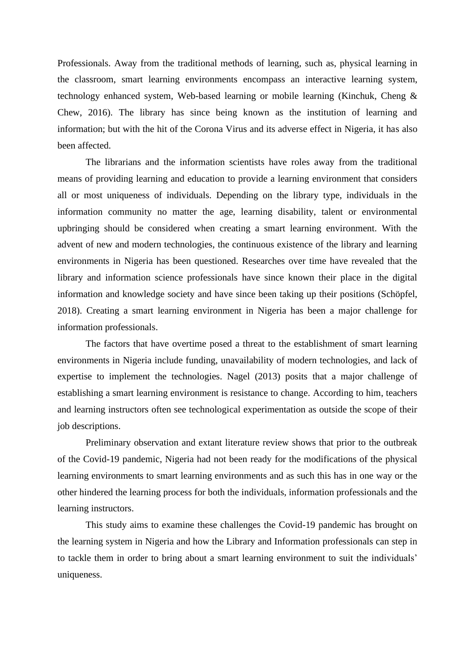Professionals. Away from the traditional methods of learning, such as, physical learning in the classroom, smart learning environments encompass an interactive learning system, technology enhanced system, Web-based learning or mobile learning (Kinchuk, Cheng & Chew, 2016). The library has since being known as the institution of learning and information; but with the hit of the Corona Virus and its adverse effect in Nigeria, it has also been affected.

The librarians and the information scientists have roles away from the traditional means of providing learning and education to provide a learning environment that considers all or most uniqueness of individuals. Depending on the library type, individuals in the information community no matter the age, learning disability, talent or environmental upbringing should be considered when creating a smart learning environment. With the advent of new and modern technologies, the continuous existence of the library and learning environments in Nigeria has been questioned. Researches over time have revealed that the library and information science professionals have since known their place in the digital information and knowledge society and have since been taking up their positions (Schöpfel, 2018). Creating a smart learning environment in Nigeria has been a major challenge for information professionals.

The factors that have overtime posed a threat to the establishment of smart learning environments in Nigeria include funding, unavailability of modern technologies, and lack of expertise to implement the technologies. Nagel (2013) posits that a major challenge of establishing a smart learning environment is resistance to change. According to him, teachers and learning instructors often see technological experimentation as outside the scope of their job descriptions.

Preliminary observation and extant literature review shows that prior to the outbreak of the Covid-19 pandemic, Nigeria had not been ready for the modifications of the physical learning environments to smart learning environments and as such this has in one way or the other hindered the learning process for both the individuals, information professionals and the learning instructors.

This study aims to examine these challenges the Covid-19 pandemic has brought on the learning system in Nigeria and how the Library and Information professionals can step in to tackle them in order to bring about a smart learning environment to suit the individuals' uniqueness.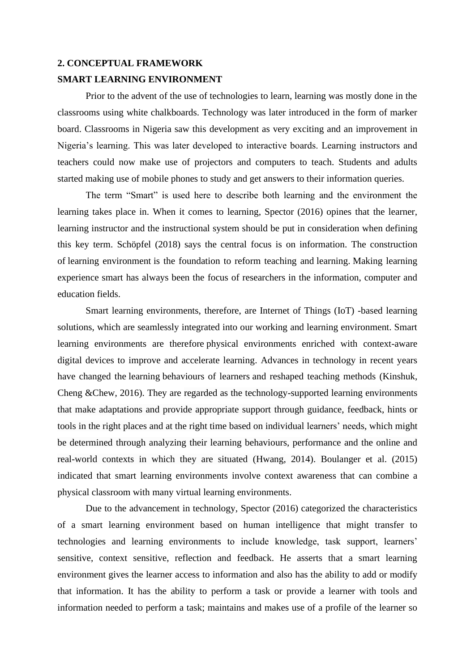### **2. CONCEPTUAL FRAMEWORK SMART LEARNING ENVIRONMENT**

Prior to the advent of the use of technologies to learn, learning was mostly done in the classrooms using white chalkboards. Technology was later introduced in the form of marker board. Classrooms in Nigeria saw this development as very exciting and an improvement in Nigeria's learning. This was later developed to interactive boards. Learning instructors and teachers could now make use of projectors and computers to teach. Students and adults started making use of mobile phones to study and get answers to their information queries.

The term "Smart" is used here to describe both learning and the environment the learning takes place in. When it comes to learning, Spector (2016) opines that the learner, learning instructor and the instructional system should be put in consideration when defining this key term. Schöpfel (2018) says the central focus is on information. The construction of learning environment is the foundation to reform teaching and learning. Making learning experience smart has always been the focus of researchers in the information, computer and education fields.

Smart learning environments, therefore, are Internet of Things (IoT) -based learning solutions, which are seamlessly integrated into our working and learning environment. Smart learning environments are therefore physical environments enriched with context-aware digital devices to improve and accelerate learning. Advances in technology in recent years have changed the learning behaviours of learners and reshaped teaching methods (Kinshuk, Cheng &Chew, 2016). They are regarded as the technology-supported learning environments that make adaptations and provide appropriate support through guidance, feedback, hints or tools in the right places and at the right time based on individual learners' needs, which might be determined through analyzing their learning behaviours, performance and the online and real-world contexts in which they are situated (Hwang, 2014). Boulanger et al. (2015) indicated that smart learning environments involve context awareness that can combine a physical classroom with many virtual learning environments.

Due to the advancement in technology, Spector (2016) categorized the characteristics of a smart learning environment based on human intelligence that might transfer to technologies and learning environments to include knowledge, task support, learners' sensitive, context sensitive, reflection and feedback. He asserts that a smart learning environment gives the learner access to information and also has the ability to add or modify that information. It has the ability to perform a task or provide a learner with tools and information needed to perform a task; maintains and makes use of a profile of the learner so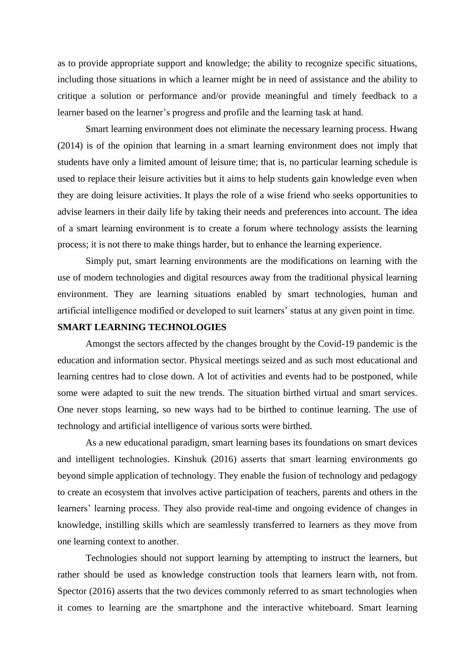as to provide appropriate support and knowledge; the ability to recognize specific situations, including those situations in which a learner might be in need of assistance and the ability to critique a solution or performance and/or provide meaningful and timely feedback to a learner based on the learner's progress and profile and the learning task at hand.

Smart learning environment does not eliminate the necessary learning process. Hwang (2014) is of the opinion that learning in a smart learning environment does not imply that students have only a limited amount of leisure time; that is, no particular learning schedule is used to replace their leisure activities but it aims to help students gain knowledge even when they are doing leisure activities. It plays the role of a wise friend who seeks opportunities to advise learners in their daily life by taking their needs and preferences into account. The idea of a smart learning environment is to create a forum where technology assists the learning process; it is not there to make things harder, but to enhance the learning experience.

Simply put, smart learning environments are the modifications on learning with the use of modern technologies and digital resources away from the traditional physical learning environment. They are learning situations enabled by smart technologies, human and artificial intelligence modified or developed to suit learners' status at any given point in time.

### **SMART LEARNING TECHNOLOGIES**

Amongst the sectors affected by the changes brought by the Covid-19 pandemic is the education and information sector. Physical meetings seized and as such most educational and learning centres had to close down. A lot of activities and events had to be postponed, while some were adapted to suit the new trends. The situation birthed virtual and smart services. One never stops learning, so new ways had to be birthed to continue learning. The use of technology and artificial intelligence of various sorts were birthed.

As a new educational paradigm, smart learning bases its foundations on smart devices and intelligent technologies. Kinshuk (2016) asserts that smart learning environments go beyond simple application of technology. They enable the fusion of technology and pedagogy to create an ecosystem that involves active participation of teachers, parents and others in the learners' learning process. They also provide real-time and ongoing evidence of changes in knowledge, instilling skills which are seamlessly transferred to learners as they move from one learning context to another.

Technologies should not support learning by attempting to instruct the learners, but rather should be used as knowledge construction tools that learners learn with, not from. Spector (2016) asserts that the two devices commonly referred to as smart technologies when it comes to learning are the smartphone and the interactive whiteboard. Smart learning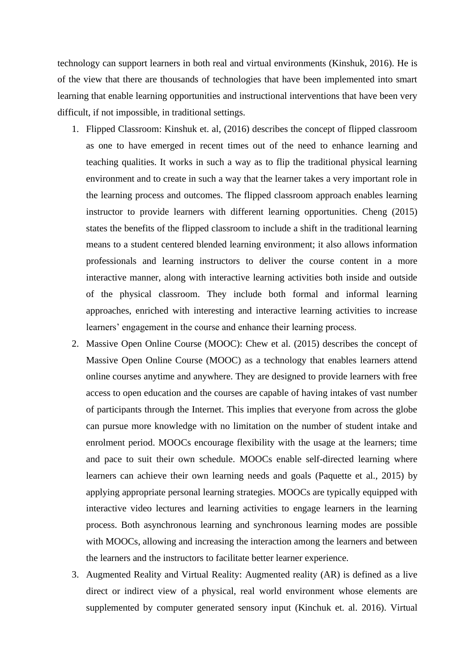technology can support learners in both real and virtual environments (Kinshuk, 2016). He is of the view that there are thousands of technologies that have been implemented into smart learning that enable learning opportunities and instructional interventions that have been very difficult, if not impossible, in traditional settings.

- 1. Flipped Classroom: Kinshuk et. al, (2016) describes the concept of flipped classroom as one to have emerged in recent times out of the need to enhance learning and teaching qualities. It works in such a way as to flip the traditional physical learning environment and to create in such a way that the learner takes a very important role in the learning process and outcomes. The flipped classroom approach enables learning instructor to provide learners with different learning opportunities. Cheng (2015) states the benefits of the flipped classroom to include a shift in the traditional learning means to a student centered blended learning environment; it also allows information professionals and learning instructors to deliver the course content in a more interactive manner, along with interactive learning activities both inside and outside of the physical classroom. They include both formal and informal learning approaches, enriched with interesting and interactive learning activities to increase learners' engagement in the course and enhance their learning process.
- 2. Massive Open Online Course (MOOC): Chew et al. (2015) describes the concept of Massive Open Online Course (MOOC) as a technology that enables learners attend online courses anytime and anywhere. They are designed to provide learners with free access to open education and the courses are capable of having intakes of vast number of participants through the Internet. This implies that everyone from across the globe can pursue more knowledge with no limitation on the number of student intake and enrolment period. MOOCs encourage flexibility with the usage at the learners; time and pace to suit their own schedule. MOOCs enable self-directed learning where learners can achieve their own learning needs and goals (Paquette et al., 2015) by applying appropriate personal learning strategies. MOOCs are typically equipped with interactive video lectures and learning activities to engage learners in the learning process. Both asynchronous learning and synchronous learning modes are possible with MOOCs, allowing and increasing the interaction among the learners and between the learners and the instructors to facilitate better learner experience.
- 3. Augmented Reality and Virtual Reality: Augmented reality (AR) is defined as a live direct or indirect view of a physical, real world environment whose elements are supplemented by computer generated sensory input (Kinchuk et. al. 2016). Virtual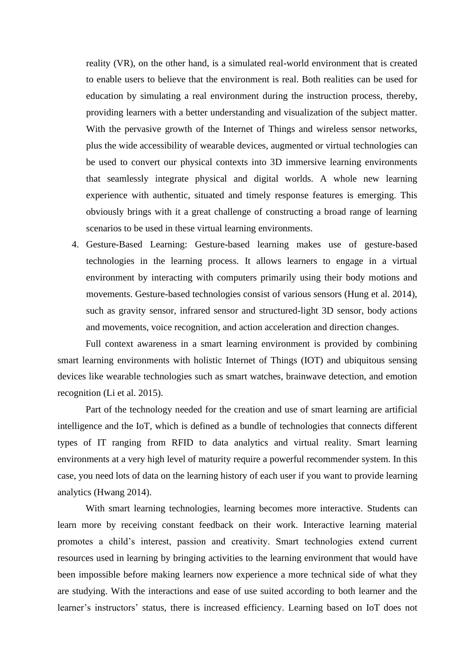reality (VR), on the other hand, is a simulated real-world environment that is created to enable users to believe that the environment is real. Both realities can be used for education by simulating a real environment during the instruction process, thereby, providing learners with a better understanding and visualization of the subject matter. With the pervasive growth of the Internet of Things and wireless sensor networks, plus the wide accessibility of wearable devices, augmented or virtual technologies can be used to convert our physical contexts into 3D immersive learning environments that seamlessly integrate physical and digital worlds. A whole new learning experience with authentic, situated and timely response features is emerging. This obviously brings with it a great challenge of constructing a broad range of learning scenarios to be used in these virtual learning environments.

4. Gesture-Based Learning: Gesture-based learning makes use of gesture-based technologies in the learning process. It allows learners to engage in a virtual environment by interacting with computers primarily using their body motions and movements. Gesture-based technologies consist of various sensors (Hung et al. 2014), such as gravity sensor, infrared sensor and structured-light 3D sensor, body actions and movements, voice recognition, and action acceleration and direction changes.

Full context awareness in a smart learning environment is provided by combining smart learning environments with holistic Internet of Things (IOT) and ubiquitous sensing devices like wearable technologies such as smart watches, brainwave detection, and emotion recognition (Li et al. 2015).

Part of the technology needed for the creation and use of smart learning are artificial intelligence and the IoT, which is defined as a bundle of technologies that connects different types of IT ranging from RFID to data analytics and virtual reality. Smart learning environments at a very high level of maturity require a powerful recommender system. In this case, you need lots of data on the learning history of each user if you want to provide learning analytics (Hwang 2014).

With smart learning technologies, learning becomes more interactive. Students can learn more by receiving constant feedback on their work. Interactive learning material promotes a child's interest, passion and creativity. Smart technologies extend current resources used in learning by bringing activities to the learning environment that would have been impossible before making learners now experience a more technical side of what they are studying. With the interactions and ease of use suited according to both learner and the learner's instructors' status, there is increased efficiency. Learning based on IoT does not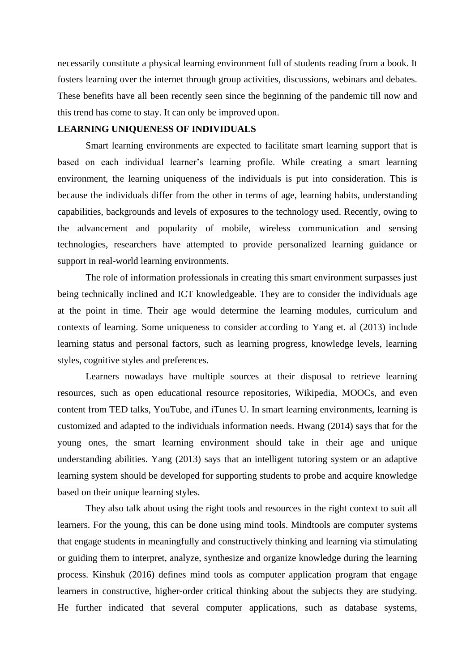necessarily constitute a physical learning environment full of students reading from a book. It fosters learning over the internet through group activities, discussions, webinars and debates. These benefits have all been recently seen since the beginning of the pandemic till now and this trend has come to stay. It can only be improved upon.

### **LEARNING UNIQUENESS OF INDIVIDUALS**

Smart learning environments are expected to facilitate smart learning support that is based on each individual learner's learning profile. While creating a smart learning environment, the learning uniqueness of the individuals is put into consideration. This is because the individuals differ from the other in terms of age, learning habits, understanding capabilities, backgrounds and levels of exposures to the technology used. Recently, owing to the advancement and popularity of mobile, wireless communication and sensing technologies, researchers have attempted to provide personalized learning guidance or support in real-world learning environments.

The role of information professionals in creating this smart environment surpasses just being technically inclined and ICT knowledgeable. They are to consider the individuals age at the point in time. Their age would determine the learning modules, curriculum and contexts of learning. Some uniqueness to consider according to Yang et. al (2013) include learning status and personal factors, such as learning progress, knowledge levels, learning styles, cognitive styles and preferences.

Learners nowadays have multiple sources at their disposal to retrieve learning resources, such as open educational resource repositories, Wikipedia, MOOCs, and even content from TED talks, YouTube, and iTunes U. In smart learning environments, learning is customized and adapted to the individuals information needs. Hwang (2014) says that for the young ones, the smart learning environment should take in their age and unique understanding abilities. Yang (2013) says that an intelligent tutoring system or an adaptive learning system should be developed for supporting students to probe and acquire knowledge based on their unique learning styles.

They also talk about using the right tools and resources in the right context to suit all learners. For the young, this can be done using mind tools. Mindtools are computer systems that engage students in meaningfully and constructively thinking and learning via stimulating or guiding them to interpret, analyze, synthesize and organize knowledge during the learning process. Kinshuk (2016) defines mind tools as computer application program that engage learners in constructive, higher-order critical thinking about the subjects they are studying. He further indicated that several computer applications, such as database systems,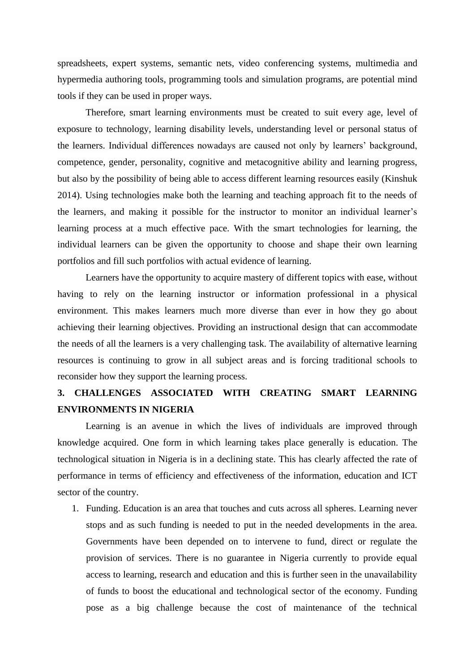spreadsheets, expert systems, semantic nets, video conferencing systems, multimedia and hypermedia authoring tools, programming tools and simulation programs, are potential mind tools if they can be used in proper ways.

Therefore, smart learning environments must be created to suit every age, level of exposure to technology, learning disability levels, understanding level or personal status of the learners. Individual differences nowadays are caused not only by learners' background, competence, gender, personality, cognitive and metacognitive ability and learning progress, but also by the possibility of being able to access different learning resources easily (Kinshuk 2014). Using technologies make both the learning and teaching approach fit to the needs of the learners, and making it possible for the instructor to monitor an individual learner's learning process at a much effective pace. With the smart technologies for learning, the individual learners can be given the opportunity to choose and shape their own learning portfolios and fill such portfolios with actual evidence of learning.

Learners have the opportunity to acquire mastery of different topics with ease, without having to rely on the learning instructor or information professional in a physical environment. This makes learners much more diverse than ever in how they go about achieving their learning objectives. Providing an instructional design that can accommodate the needs of all the learners is a very challenging task. The availability of alternative learning resources is continuing to grow in all subject areas and is forcing traditional schools to reconsider how they support the learning process.

### **3. CHALLENGES ASSOCIATED WITH CREATING SMART LEARNING ENVIRONMENTS IN NIGERIA**

Learning is an avenue in which the lives of individuals are improved through knowledge acquired. One form in which learning takes place generally is education. The technological situation in Nigeria is in a declining state. This has clearly affected the rate of performance in terms of efficiency and effectiveness of the information, education and ICT sector of the country.

1. Funding. Education is an area that touches and cuts across all spheres. Learning never stops and as such funding is needed to put in the needed developments in the area. Governments have been depended on to intervene to fund, direct or regulate the provision of services. There is no guarantee in Nigeria currently to provide equal access to learning, research and education and this is further seen in the unavailability of funds to boost the educational and technological sector of the economy. Funding pose as a big challenge because the cost of maintenance of the technical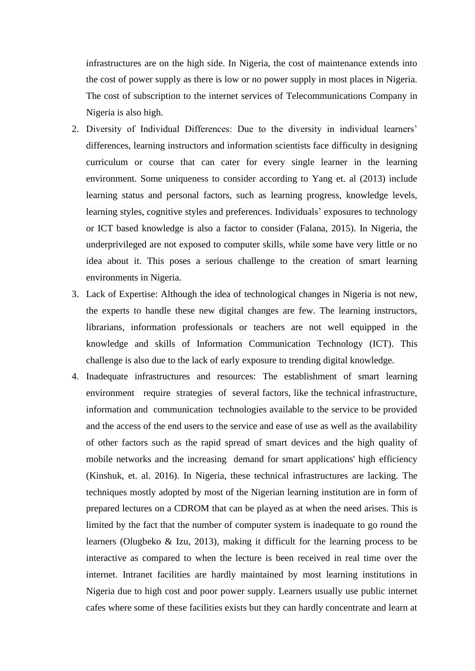infrastructures are on the high side. In Nigeria, the cost of maintenance extends into the cost of power supply as there is low or no power supply in most places in Nigeria. The cost of subscription to the internet services of Telecommunications Company in Nigeria is also high.

- 2. Diversity of Individual Differences: Due to the diversity in individual learners' differences, learning instructors and information scientists face difficulty in designing curriculum or course that can cater for every single learner in the learning environment. Some uniqueness to consider according to Yang et. al (2013) include learning status and personal factors, such as learning progress, knowledge levels, learning styles, cognitive styles and preferences. Individuals' exposures to technology or ICT based knowledge is also a factor to consider (Falana, 2015). In Nigeria, the underprivileged are not exposed to computer skills, while some have very little or no idea about it. This poses a serious challenge to the creation of smart learning environments in Nigeria.
- 3. Lack of Expertise: Although the idea of technological changes in Nigeria is not new, the experts to handle these new digital changes are few. The learning instructors, librarians, information professionals or teachers are not well equipped in the knowledge and skills of Information Communication Technology (ICT). This challenge is also due to the lack of early exposure to trending digital knowledge.
- 4. Inadequate infrastructures and resources: The establishment of smart learning environment require strategies of several factors, like the technical infrastructure, information and communication technologies available to the service to be provided and the access of the end users to the service and ease of use as well as the availability of other factors such as the rapid spread of smart devices and the high quality of mobile networks and the increasing demand for smart applications' high efficiency (Kinshuk, et. al. 2016). In Nigeria, these technical infrastructures are lacking. The techniques mostly adopted by most of the Nigerian learning institution are in form of prepared lectures on a CDROM that can be played as at when the need arises. This is limited by the fact that the number of computer system is inadequate to go round the learners (Olugbeko & Izu, 2013), making it difficult for the learning process to be interactive as compared to when the lecture is been received in real time over the internet. Intranet facilities are hardly maintained by most learning institutions in Nigeria due to high cost and poor power supply. Learners usually use public internet cafes where some of these facilities exists but they can hardly concentrate and learn at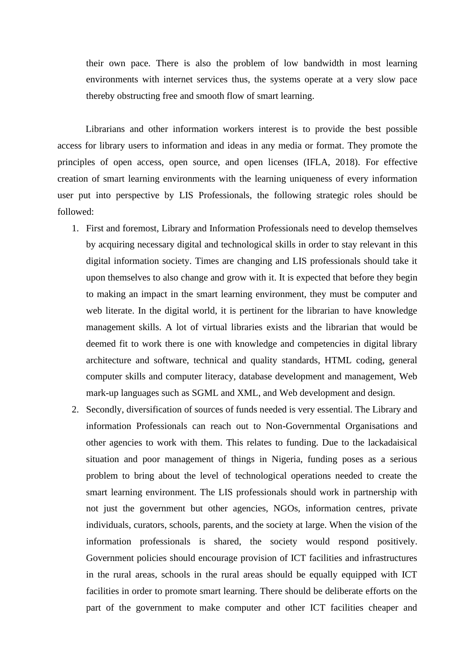their own pace. There is also the problem of low bandwidth in most learning environments with internet services thus, the systems operate at a very slow pace thereby obstructing free and smooth flow of smart learning.

Librarians and other information workers interest is to provide the best possible access for library users to information and ideas in any media or format. They promote the principles of open access, open source, and open licenses (IFLA, 2018). For effective creation of smart learning environments with the learning uniqueness of every information user put into perspective by LIS Professionals, the following strategic roles should be followed:

- 1. First and foremost, Library and Information Professionals need to develop themselves by acquiring necessary digital and technological skills in order to stay relevant in this digital information society. Times are changing and LIS professionals should take it upon themselves to also change and grow with it. It is expected that before they begin to making an impact in the smart learning environment, they must be computer and web literate. In the digital world, it is pertinent for the librarian to have knowledge management skills. A lot of virtual libraries exists and the librarian that would be deemed fit to work there is one with knowledge and competencies in digital library architecture and software, technical and quality standards, HTML coding, general computer skills and computer literacy, database development and management, Web mark-up languages such as SGML and XML, and Web development and design.
- 2. Secondly, diversification of sources of funds needed is very essential. The Library and information Professionals can reach out to Non-Governmental Organisations and other agencies to work with them. This relates to funding. Due to the lackadaisical situation and poor management of things in Nigeria, funding poses as a serious problem to bring about the level of technological operations needed to create the smart learning environment. The LIS professionals should work in partnership with not just the government but other agencies, NGOs, information centres, private individuals, curators, schools, parents, and the society at large. When the vision of the information professionals is shared, the society would respond positively. Government policies should encourage provision of ICT facilities and infrastructures in the rural areas, schools in the rural areas should be equally equipped with ICT facilities in order to promote smart learning. There should be deliberate efforts on the part of the government to make computer and other ICT facilities cheaper and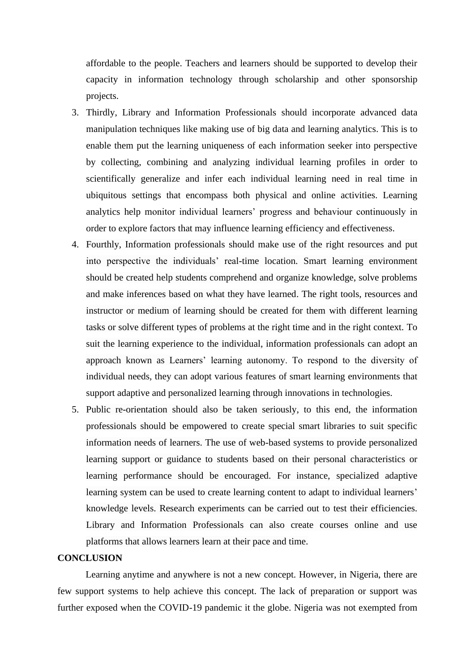affordable to the people. Teachers and learners should be supported to develop their capacity in information technology through scholarship and other sponsorship projects.

- 3. Thirdly, Library and Information Professionals should incorporate advanced data manipulation techniques like making use of big data and learning analytics. This is to enable them put the learning uniqueness of each information seeker into perspective by collecting, combining and analyzing individual learning profiles in order to scientifically generalize and infer each individual learning need in real time in ubiquitous settings that encompass both physical and online activities. Learning analytics help monitor individual learners' progress and behaviour continuously in order to explore factors that may influence learning efficiency and effectiveness.
- 4. Fourthly, Information professionals should make use of the right resources and put into perspective the individuals' real-time location. Smart learning environment should be created help students comprehend and organize knowledge, solve problems and make inferences based on what they have learned. The right tools, resources and instructor or medium of learning should be created for them with different learning tasks or solve different types of problems at the right time and in the right context. To suit the learning experience to the individual, information professionals can adopt an approach known as Learners' learning autonomy. To respond to the diversity of individual needs, they can adopt various features of smart learning environments that support adaptive and personalized learning through innovations in technologies.
- 5. Public re-orientation should also be taken seriously, to this end, the information professionals should be empowered to create special smart libraries to suit specific information needs of learners. The use of web-based systems to provide personalized learning support or guidance to students based on their personal characteristics or learning performance should be encouraged. For instance, specialized adaptive learning system can be used to create learning content to adapt to individual learners' knowledge levels. Research experiments can be carried out to test their efficiencies. Library and Information Professionals can also create courses online and use platforms that allows learners learn at their pace and time.

### **CONCLUSION**

Learning anytime and anywhere is not a new concept. However, in Nigeria, there are few support systems to help achieve this concept. The lack of preparation or support was further exposed when the COVID-19 pandemic it the globe. Nigeria was not exempted from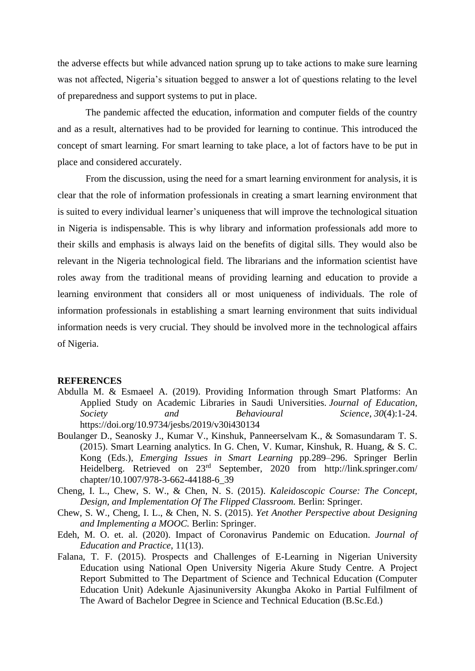the adverse effects but while advanced nation sprung up to take actions to make sure learning was not affected, Nigeria's situation begged to answer a lot of questions relating to the level of preparedness and support systems to put in place.

The pandemic affected the education, information and computer fields of the country and as a result, alternatives had to be provided for learning to continue. This introduced the concept of smart learning. For smart learning to take place, a lot of factors have to be put in place and considered accurately.

From the discussion, using the need for a smart learning environment for analysis, it is clear that the role of information professionals in creating a smart learning environment that is suited to every individual learner's uniqueness that will improve the technological situation in Nigeria is indispensable. This is why library and information professionals add more to their skills and emphasis is always laid on the benefits of digital sills. They would also be relevant in the Nigeria technological field. The librarians and the information scientist have roles away from the traditional means of providing learning and education to provide a learning environment that considers all or most uniqueness of individuals. The role of information professionals in establishing a smart learning environment that suits individual information needs is very crucial. They should be involved more in the technological affairs of Nigeria.

#### **REFERENCES**

- Abdulla M. & Esmaeel A. (2019). Providing Information through Smart Platforms: An Applied Study on Academic Libraries in Saudi Universities. *Journal of Education, Society and Behavioural Science*, *30*(4):1-24. https://doi.org/10.9734/jesbs/2019/v30i430134
- Boulanger D., Seanosky J., Kumar V., Kinshuk, Panneerselvam K., & Somasundaram T. S. (2015). Smart Learning analytics. In G. Chen, V. Kumar, Kinshuk, R. Huang, & S. C. Kong (Eds.), *Emerging Issues in Smart Learning* pp.289–296. Springer Berlin Heidelberg. Retrieved on 23rd September, 2020 from http://link.springer.com/ chapter/10.1007/978-3-662-44188-6\_39
- Cheng, I. L., Chew, S. W., & Chen, N. S. (2015). *Kaleidoscopic Course: The Concept, Design, and Implementation Of The Flipped Classroom.* Berlin: Springer.
- Chew, S. W., Cheng, I. L., & Chen, N. S. (2015). *Yet Another Perspective about Designing and Implementing a MOOC.* Berlin: Springer.
- Edeh, M. O. et. al. (2020). Impact of Coronavirus Pandemic on Education. *Journal of Education and Practice*, 11(13).
- Falana, T. F. (2015). Prospects and Challenges of E-Learning in Nigerian University Education using National Open University Nigeria Akure Study Centre. A Project Report Submitted to The Department of Science and Technical Education (Computer Education Unit) Adekunle Ajasinuniversity Akungba Akoko in Partial Fulfilment of The Award of Bachelor Degree in Science and Technical Education (B.Sc.Ed.)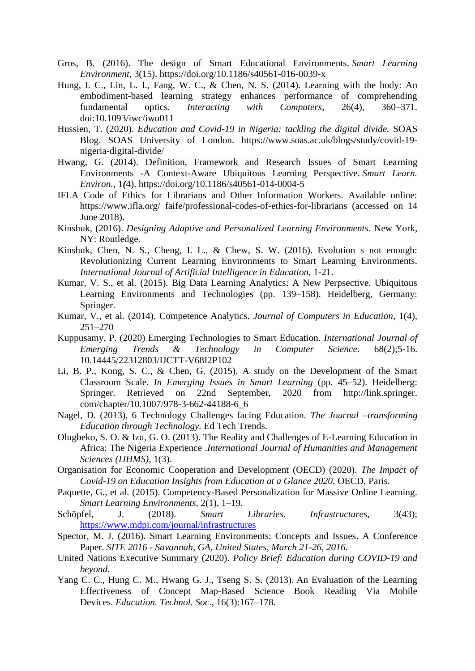- Gros, B. (2016). The design of Smart Educational Environments. *Smart Learning Environment*, 3(15). https://doi.org/10.1186/s40561-016-0039-x
- Hung, I. C., Lin, L. I., Fang, W. C., & Chen, N. S. (2014). Learning with the body: An embodiment-based learning strategy enhances performance of comprehending fundamental optics. *Interacting with Computers*, 26(4), 360–371. doi:10.1093/iwc/iwu011
- Hussien, T. (2020). *Education and Covid-19 in Nigeria: tackling the digital divide.* SOAS Blog. SOAS University of London. https://www.soas.ac.uk/blogs/study/covid-19 nigeria-digital-divide/
- Hwang, G. (2014). Definition, Framework and Research Issues of Smart Learning Environments -A Context-Aware Ubiquitous Learning Perspective. *Smart Learn. Environ.,* 1*(*4). https://doi.org/10.1186/s40561-014-0004-5
- IFLA Code of Ethics for Librarians and Other Information Workers. Available online: https://www.ifla.org/ faife/professional-codes-of-ethics-for-librarians (accessed on 14 June 2018).
- Kinshuk, (2016). *Designing Adaptive and Personalized Learning Environments*. New York, NY: Routledge.
- Kinshuk, Chen, N. S., Cheng, I. L., & Chew, S. W. (2016). Evolution s not enough: Revolutionizing Current Learning Environments to Smart Learning Environments. *International Journal of Artificial Intelligence in Education,* 1-21.
- Kumar, V. S., et al. (2015). Big Data Learning Analytics: A New Perpsective. Ubiquitous Learning Environments and Technologies (pp. 139–158). Heidelberg, Germany: Springer.
- Kumar, V., et al. (2014). Competence Analytics. *Journal of Computers in Education*, 1(4), 251–270
- Kuppusamy, P. (2020) Emerging Technologies to Smart Education. *International Journal of Emerging Trends & Technology in Computer Science.* 68(2);5-16. 10.14445/22312803/IJCTT-V68I2P102
- Li, B. P., Kong, S. C., & Chen, G. (2015). A study on the Development of the Smart Classroom Scale. *In Emerging Issues in Smart Learning* (pp. 45–52). Heidelberg: Springer. Retrieved on 22nd September, 2020 from http://link.springer. com/chapter/10.1007/978-3-662-44188-6\_6
- Nagel, D. (2013), 6 Technology Challenges facing Education. *The Journal –transforming Education through Technology.* Ed Tech Trends.
- Olugbeko, S. O. & Izu, G. O. (2013). The Reality and Challenges of E-Learning Education in Africa: The Nigeria Experience .*International Journal of Humanities and Management Sciences (IJHMS),* 1(3).
- Organisation for Economic Cooperation and Development (OECD) (2020). *The Impact of Covid-19 on Education Insights from Education at a Glance 2020.* OECD, Paris.
- Paquette, G., et al. (2015). Competency-Based Personalization for Massive Online Learning. *Smart Learning Environments*, 2(1), 1–19.
- Schöpfel, J. (2018). *Smart Libraries. Infrastructures*, 3(43); <https://www.mdpi.com/journal/infrastructures>
- Spector, M. J. (2016). Smart Learning Environments: Concepts and Issues. A Conference Paper. *SITE 2016 - Savannah, GA, United States, March 21-26, 2016.*
- United Nations Executive Summary (2020). *Policy Brief: Education during COVID-19 and beyond.*
- Yang C. C., Hung C. M., Hwang G. J., Tseng S. S. (2013). An Evaluation of the Learning Effectiveness of Concept Map-Based Science Book Reading Via Mobile Devices. *Education. Technol. Soc*., 16(3):167–178.